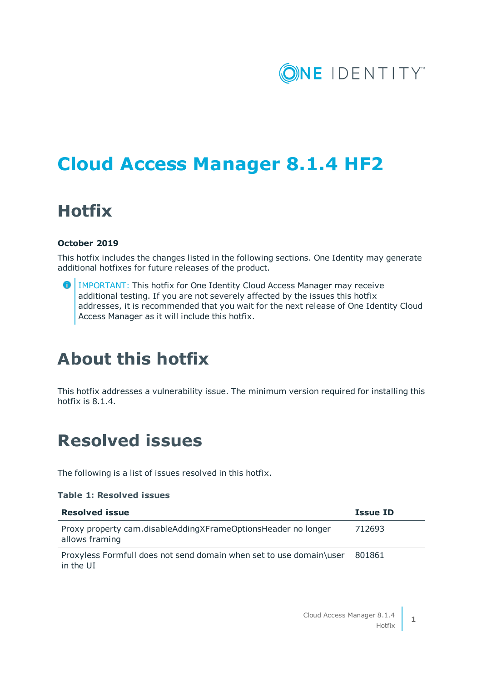

# **Cloud Access Manager 8.1.4 HF2**

## **Hotfix**

### **October 2019**

This hotfix includes the changes listed in the following sections. One Identity may generate additional hotfixes for future releases of the product.

**O** IMPORTANT: This hotfix for One Identity Cloud Access Manager may receive additional testing. If you are not severely affected by the issues this hotfix addresses, it is recommended that you wait for the next release of One Identity Cloud Access Manager as it will include this hotfix.

## **About this hotfix**

This hotfix addresses a vulnerability issue. The minimum version required for installing this hotfix is 8.1.4.

### **Resolved issues**

The following is a list of issues resolved in this hotfix.

### **Table 1: Resolved issues**

| <b>Resolved issue</b>                                                            | <b>Issue ID</b> |
|----------------------------------------------------------------------------------|-----------------|
| Proxy property cam.disableAddingXFrameOptionsHeader no longer<br>allows framing  | 712693          |
| Proxyless Formfull does not send domain when set to use domain\user<br>in the UI | 801861          |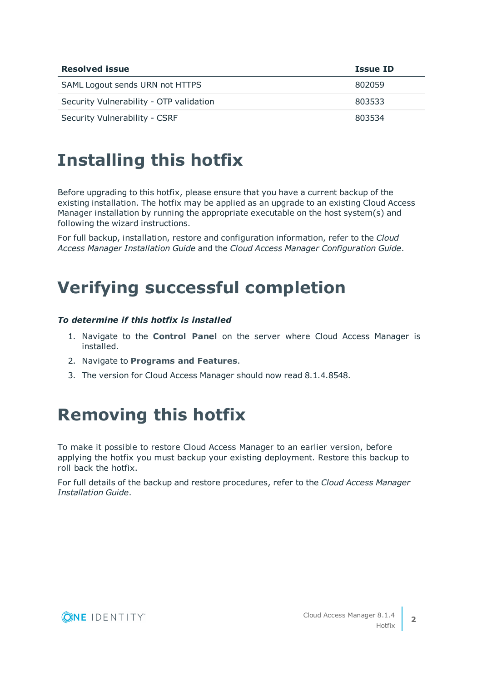| <b>Resolved issue</b>                   | Issue ID |
|-----------------------------------------|----------|
| SAML Logout sends URN not HTTPS         | 802059   |
| Security Vulnerability - OTP validation | 803533   |
| Security Vulnerability - CSRF           | 803534   |

## **Installing this hotfix**

Before upgrading to this hotfix, please ensure that you have a current backup of the existing installation. The hotfix may be applied as an upgrade to an existing Cloud Access Manager installation by running the appropriate executable on the host system(s) and following the wizard instructions.

For full backup, installation, restore and configuration information, refer to the *Cloud Access Manager Installation Guide* and the *Cloud Access Manager Configuration Guide*.

## **Verifying successful completion**

### *To determine if this hotfix is installed*

- 1. Navigate to the **Control Panel** on the server where Cloud Access Manager is installed.
- 2. Navigate to **Programs and Features**.
- 3. The version for Cloud Access Manager should now read 8.1.4.8548.

## **Removing this hotfix**

To make it possible to restore Cloud Access Manager to an earlier version, before applying the hotfix you must backup your existing deployment. Restore this backup to roll back the hotfix.

For full details of the backup and restore procedures, refer to the *Cloud Access Manager Installation Guide*.

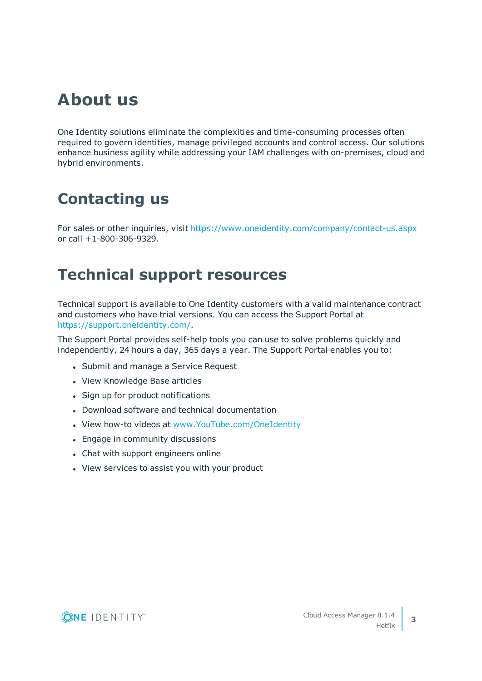## **About us**

One Identity solutions eliminate the complexities and time-consuming processes often required to govern identities, manage privileged accounts and control access. Our solutions enhance business agility while addressing your IAM challenges with on-premises, cloud and hybrid environments.

## **Contacting us**

For sales or other inquiries, visit <https://www.oneidentity.com/company/contact-us.aspx> or call +1-800-306-9329.

### **Technical support resources**

Technical support is available to One Identity customers with a valid maintenance contract and customers who have trial versions. You can access the Support Portal at [https://support.oneidentity.com/.](https://support.oneidentity.com/)

The Support Portal provides self-help tools you can use to solve problems quickly and independently, 24 hours a day, 365 days a year. The Support Portal enables you to:

- Submit and manage a Service Request
- View Knowledge Base articles
- Sign up for product notifications
- Download software and technical documentation
- View how-to videos at [www.YouTube.com/OneIdentity](http://www.youtube.com/OneIdentity)
- Engage in community discussions
- Chat with support engineers online
- View services to assist you with your product